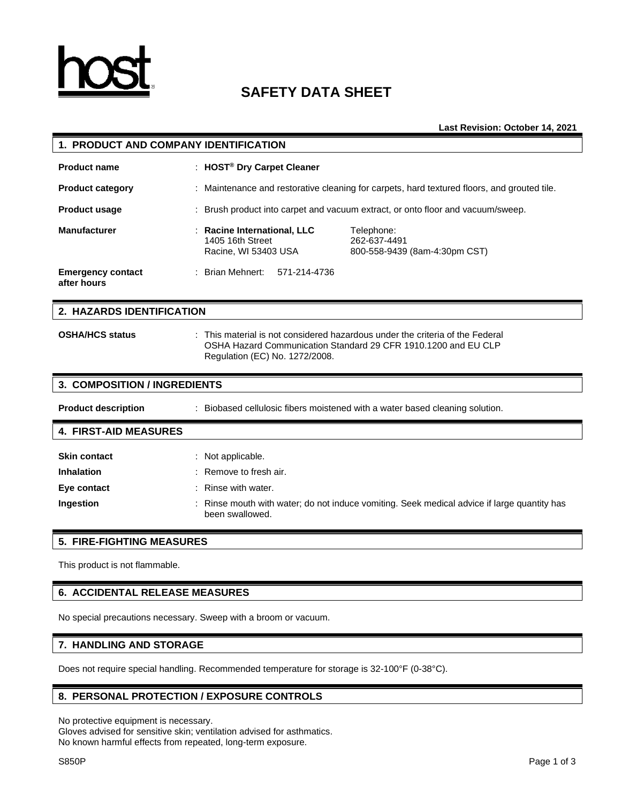

# **SAFETY DATA SHEET**

**Last Revision: October 14, 2021**

| 1. PRODUCT AND COMPANY IDENTIFICATION                                                                                                                                           |                                                                                             |  |
|---------------------------------------------------------------------------------------------------------------------------------------------------------------------------------|---------------------------------------------------------------------------------------------|--|
| : HOST <sup>®</sup> Dry Carpet Cleaner                                                                                                                                          |                                                                                             |  |
|                                                                                                                                                                                 | : Maintenance and restorative cleaning for carpets, hard textured floors, and grouted tile. |  |
|                                                                                                                                                                                 | : Brush product into carpet and vacuum extract, or onto floor and vacuum/sweep.             |  |
| <b>Racine International, LLC</b><br>1405 16th Street<br>Racine, WI 53403 USA                                                                                                    | Telephone:<br>262-637-4491<br>800-558-9439 (8am-4:30pm CST)                                 |  |
| : Brian Mehnert:<br>571-214-4736                                                                                                                                                |                                                                                             |  |
| 2. HAZARDS IDENTIFICATION                                                                                                                                                       |                                                                                             |  |
| This material is not considered hazardous under the criteria of the Federal<br>OSHA Hazard Communication Standard 29 CFR 1910.1200 and EU CLP<br>Regulation (EC) No. 1272/2008. |                                                                                             |  |
|                                                                                                                                                                                 |                                                                                             |  |
| <b>3. COMPOSITION / INGREDIENTS</b>                                                                                                                                             |                                                                                             |  |
|                                                                                                                                                                                 | : Biobased cellulosic fibers moistened with a water based cleaning solution.                |  |
|                                                                                                                                                                                 |                                                                                             |  |
|                                                                                                                                                                                 |                                                                                             |  |

# **5. FIRE-FIGHTING MEASURES**

This product is not flammable.

# **6. ACCIDENTAL RELEASE MEASURES**

No special precautions necessary. Sweep with a broom or vacuum.

# **7. HANDLING AND STORAGE**

Does not require special handling. Recommended temperature for storage is 32-100°F (0-38°C).

# **8. PERSONAL PROTECTION / EXPOSURE CONTROLS**

No protective equipment is necessary.

Gloves advised for sensitive skin; ventilation advised for asthmatics. No known harmful effects from repeated, long-term exposure.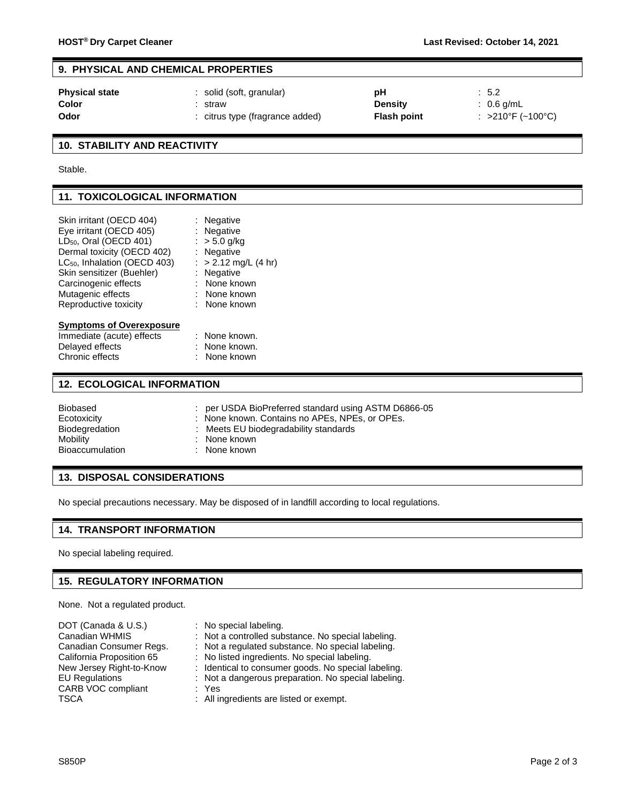# **9. PHYSICAL AND CHEMICAL PROPERTIES**

| <b>Physical state</b> | solid (soft, granular)        | рH                 | $\therefore$ 5.2      |
|-----------------------|-------------------------------|--------------------|-----------------------|
| Color                 | straw                         | <b>Density</b>     | $\therefore$ 0.6 g/mL |
| Odor                  | citrus type (fragrance added) | <b>Flash point</b> | : >210°F (~100°C)     |

# **10. STABILITY AND REACTIVITY**

Stable.

# **11. TOXICOLOGICAL INFORMATION**

| Skin irritant (OECD 404)                 | : Negative           |  |
|------------------------------------------|----------------------|--|
| Eye irritant (OECD 405)                  | : Negative           |  |
| LD <sub>50</sub> , Oral (OECD 401)       | : $> 5.0$ g/kg       |  |
| Dermal toxicity (OECD 402)               | : Negative           |  |
| LC <sub>50</sub> , Inhalation (OECD 403) | : > 2.12 mg/L (4 hr) |  |
| Skin sensitizer (Buehler)                | : Negative           |  |
| Carcinogenic effects                     | : None known         |  |
| Mutagenic effects                        | : None known         |  |
| Reproductive toxicity                    | : None known         |  |
|                                          |                      |  |
| <b>Symptoms of Overexposure</b>          |                      |  |
| Immediate (acute) effects                | : None known.        |  |
| Delayed effects                          | : None known.        |  |
|                                          |                      |  |

# Chronic effects : None known

#### **12. ECOLOGICAL INFORMATION**

| Biobased               | : per USDA BioPreferred standard using ASTM D6866-05 |
|------------------------|------------------------------------------------------|
| Ecotoxicity            | : None known. Contains no APEs, NPEs, or OPEs.       |
| Biodegredation         | : Meets EU biodegradability standards                |
| Mobility               | : None known                                         |
| <b>Bioaccumulation</b> | : None known                                         |

#### **13. DISPOSAL CONSIDERATIONS**

No special precautions necessary. May be disposed of in landfill according to local regulations.

# **14. TRANSPORT INFORMATION**

No special labeling required.

# **15. REGULATORY INFORMATION**

None. Not a regulated product.

| DOT (Canada & U.S.)       | : No special labeling.                              |
|---------------------------|-----------------------------------------------------|
| Canadian WHMIS            | : Not a controlled substance. No special labeling.  |
| Canadian Consumer Regs.   | : Not a regulated substance. No special labeling.   |
| California Proposition 65 | : No listed ingredients. No special labeling.       |
| New Jersey Right-to-Know  | : Identical to consumer goods. No special labeling. |
| <b>EU Regulations</b>     | : Not a dangerous preparation. No special labeling. |
| CARB VOC compliant        | : Yes                                               |
| <b>TSCA</b>               | : All ingredients are listed or exempt.             |